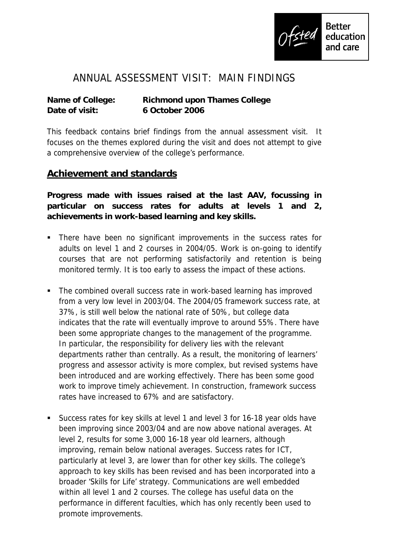

## ANNUAL ASSESSMENT VISIT: MAIN FINDINGS

**Name of College: Richmond upon Thames College Date of visit: 6 October 2006**

This feedback contains brief findings from the annual assessment visit. It focuses on the themes explored during the visit and does not attempt to give a comprehensive overview of the college's performance.

## **Achievement and standards**

**Progress made with issues raised at the last AAV, focussing in particular on success rates for adults at levels 1 and 2, achievements in work-based learning and key skills.**

- There have been no significant improvements in the success rates for adults on level 1 and 2 courses in 2004/05. Work is on-going to identify courses that are not performing satisfactorily and retention is being monitored termly. It is too early to assess the impact of these actions.
- The combined overall success rate in work-based learning has improved from a very low level in 2003/04. The 2004/05 framework success rate, at 37%, is still well below the national rate of 50%, but college data indicates that the rate will eventually improve to around 55%. There have been some appropriate changes to the management of the programme. In particular, the responsibility for delivery lies with the relevant departments rather than centrally. As a result, the monitoring of learners' progress and assessor activity is more complex, but revised systems have been introduced and are working effectively. There has been some good work to improve timely achievement. In construction, framework success rates have increased to 67% and are satisfactory.
- Success rates for key skills at level 1 and level 3 for 16-18 year olds have been improving since 2003/04 and are now above national averages. At level 2, results for some 3,000 16-18 year old learners, although improving, remain below national averages. Success rates for ICT, particularly at level 3, are lower than for other key skills. The college's approach to key skills has been revised and has been incorporated into a broader 'Skills for Life' strategy. Communications are well embedded within all level 1 and 2 courses. The college has useful data on the performance in different faculties, which has only recently been used to promote improvements.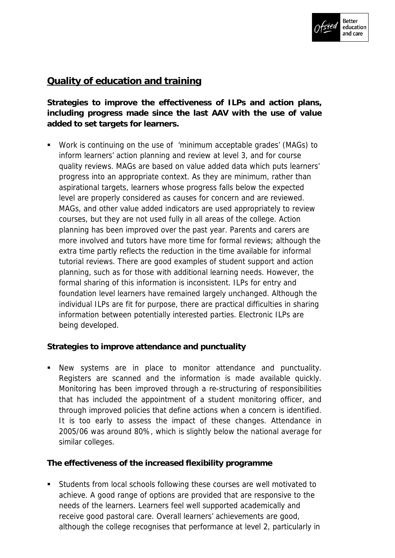

## **Quality of education and training**

**Strategies to improve the effectiveness of ILPs and action plans, including progress made since the last AAV with the use of value added to set targets for learners.**

 Work is continuing on the use of 'minimum acceptable grades' (MAGs) to inform learners' action planning and review at level 3, and for course quality reviews. MAGs are based on value added data which puts learners' progress into an appropriate context. As they are minimum, rather than aspirational targets, learners whose progress falls below the expected level are properly considered as causes for concern and are reviewed. MAGs, and other value added indicators are used appropriately to review courses, but they are not used fully in all areas of the college. Action planning has been improved over the past year. Parents and carers are more involved and tutors have more time for formal reviews; although the extra time partly reflects the reduction in the time available for informal tutorial reviews. There are good examples of student support and action planning, such as for those with additional learning needs. However, the formal sharing of this information is inconsistent. ILPs for entry and foundation level learners have remained largely unchanged. Although the individual ILPs are fit for purpose, there are practical difficulties in sharing information between potentially interested parties. Electronic ILPs are being developed.

**Strategies to improve attendance and punctuality**

 New systems are in place to monitor attendance and punctuality. Registers are scanned and the information is made available quickly. Monitoring has been improved through a re-structuring of responsibilities that has included the appointment of a student monitoring officer, and through improved policies that define actions when a concern is identified. It is too early to assess the impact of these changes. Attendance in 2005/06 was around 80%, which is slightly below the national average for similar colleges.

**The effectiveness of the increased flexibility programme**

 Students from local schools following these courses are well motivated to achieve. A good range of options are provided that are responsive to the needs of the learners. Learners feel well supported academically and receive good pastoral care. Overall learners' achievements are good, although the college recognises that performance at level 2, particularly in